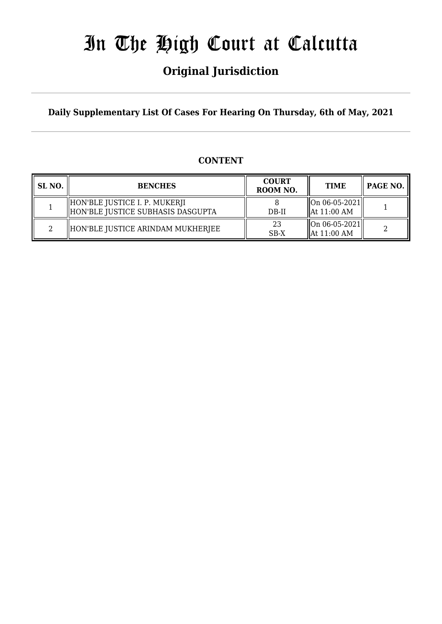# In The High Court at Calcutta

## **Original Jurisdiction**

**Daily Supplementary List Of Cases For Hearing On Thursday, 6th of May, 2021**

## **CONTENT**

| SL NO. | <b>BENCHES</b>                                                     | <b>COURT</b><br>ROOM NO. | <b>TIME</b>                                                           | PAGE NO. |
|--------|--------------------------------------------------------------------|--------------------------|-----------------------------------------------------------------------|----------|
|        | HON'BLE JUSTICE I. P. MUKERJI<br>HON'BLE JUSTICE SUBHASIS DASGUPTA | $DB-II$                  | $\left\  \right\ $ On 06-05-2021 $\left\ $<br>$\parallel$ At 11:00 AM |          |
|        | HON'BLE JUSTICE ARINDAM MUKHERJEE                                  | 23<br>$SB-X$             | $\left\  \right\ $ On 06-05-2021 $\left\  \right\ $<br>  At 11:00 AM  |          |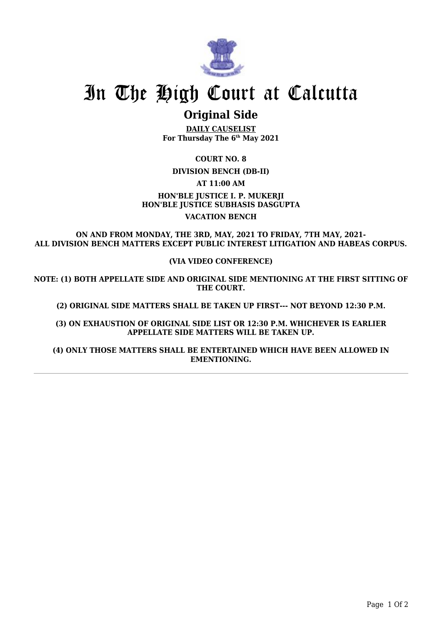

## In The High Court at Calcutta

## **Original Side**

**DAILY CAUSELIST For Thursday The 6th May 2021**

**COURT NO. 8**

**DIVISION BENCH (DB-II)**

**AT 11:00 AM**

**HON'BLE JUSTICE I. P. MUKERJI HON'BLE JUSTICE SUBHASIS DASGUPTA VACATION BENCH**

**ON AND FROM MONDAY, THE 3RD, MAY, 2021 TO FRIDAY, 7TH MAY, 2021- ALL DIVISION BENCH MATTERS EXCEPT PUBLIC INTEREST LITIGATION AND HABEAS CORPUS.**

### **(VIA VIDEO CONFERENCE)**

**NOTE: (1) BOTH APPELLATE SIDE AND ORIGINAL SIDE MENTIONING AT THE FIRST SITTING OF THE COURT.**

**(2) ORIGINAL SIDE MATTERS SHALL BE TAKEN UP FIRST--- NOT BEYOND 12:30 P.M.**

**(3) ON EXHAUSTION OF ORIGINAL SIDE LIST OR 12:30 P.M. WHICHEVER IS EARLIER APPELLATE SIDE MATTERS WILL BE TAKEN UP.**

**(4) ONLY THOSE MATTERS SHALL BE ENTERTAINED WHICH HAVE BEEN ALLOWED IN EMENTIONING.**